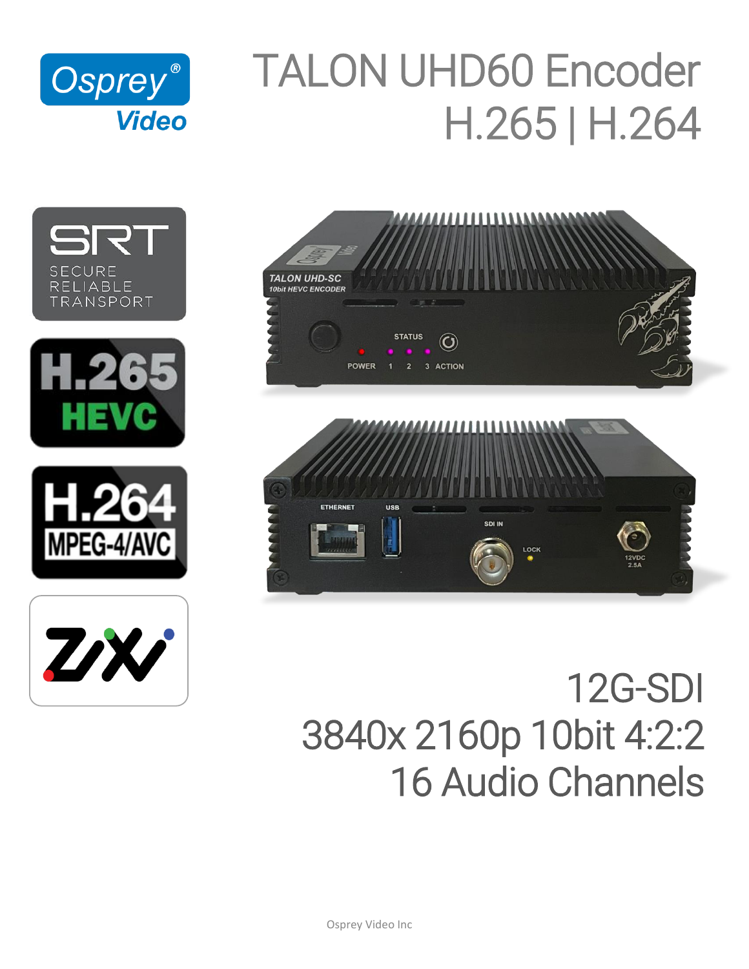

# TALON UHD60 Encoder H.265 | H.264













# 12G-SDI 3840x 2160p 10bit 4:2:2 16 Audio Channels